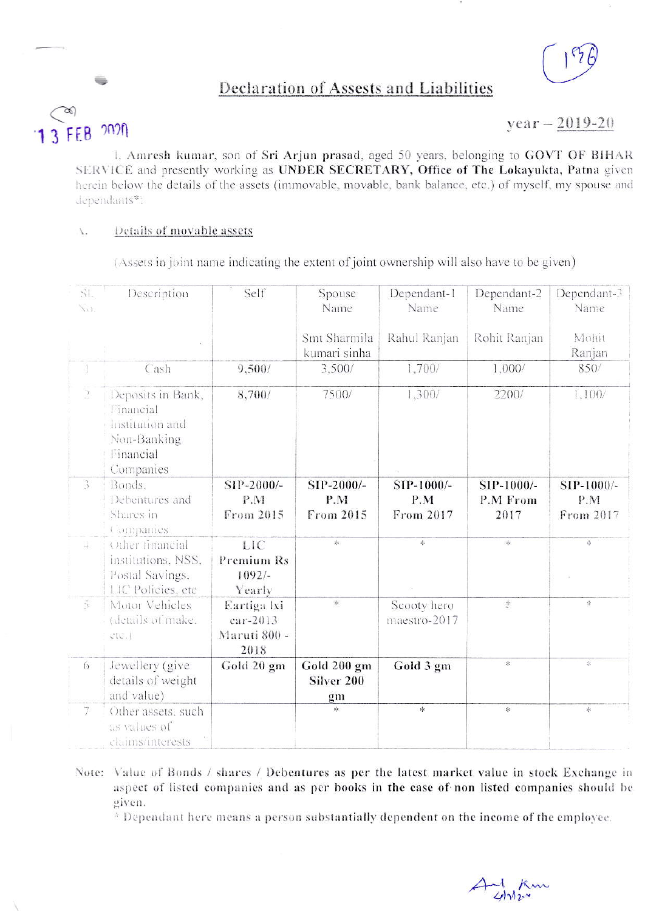

# Declaration of Assests and Liabilities



-

## $year - 2019-20$

l, Amresh kumar, son of Sri Arjun prasad, aged 50 years, belonging to GOVT OF BIHAR SERVICE and presently working as UNDER SECRETARY, Office of The Lokayukta, Patna given herein below the details of the assets (immovable, movable, bank balance, etc.) of myself, my spouse and dependants\*:

#### Details of movable assets  $\bar{L}$

(Assets in joint name indicating the extent of joint ownership will also have to be given)

| $\mathcal{S}$<br>Na)  | Description                                                                                | Self                                            | Spouse<br>Name                  | Dependant-1<br>Name            | Dependant-2<br>Name                   | Dependant-3<br>Name                       |
|-----------------------|--------------------------------------------------------------------------------------------|-------------------------------------------------|---------------------------------|--------------------------------|---------------------------------------|-------------------------------------------|
|                       |                                                                                            |                                                 | Smt Sharmila<br>kumari sinha    | Rahul Ranjan                   | Rohit Ranjan                          | Mohit<br>Ranjan                           |
| $\mathbf{1}$          | Cash                                                                                       | 9,500/                                          | 3,500/                          | 1,700/                         | 1,000/                                | 850/                                      |
| $\supseteq$           | Deposits in Bank,<br>Financial<br>Institution and<br>Non-Banking<br>Financial<br>Companies | 8,700/                                          | 7500/                           | 1,300/                         | 2200/                                 | 1,100/                                    |
| $\mathfrak{Z}$        | Bonds.<br>Debentures and<br>Shares in<br>Companies                                         | SIP-2000/-<br>P.M<br>From 2015                  | SIP-2000/-<br>P.M<br>From 2015  | SIP-1000/-<br>P.M<br>From 2017 | SIP-1000/-<br><b>P.M From</b><br>2017 | SIP-1000/-<br>P.M<br>From 2017            |
| 末                     | Other financial<br>institutions, NSS,<br>Postal Savings,<br>LIC Policies, etc.             | LIC<br>Premium Rs<br>$1092/-$<br>Yearly         | *                               | 岑                              | $\mathbb{R}$                          | $\mathcal{L}_{\mathcal{S}}^{\mathcal{S}}$ |
| $\tilde{\mathcal{L}}$ | Motor Vehicles<br>(details of make.<br>ClC.                                                | Eartiga lxi<br>ear-2013<br>Maruti 800 -<br>2018 | 非                               | Scooty hero<br>maestro-2017    | $\sim$                                | 柒                                         |
| 6                     | Jewellery (give<br>details of weight<br>and value)                                         | Gold 20 gm                                      | Gold 200 gm<br>Silver 200<br>gm | Gold 3 gm                      | *                                     | 宗                                         |
| 7                     | Other assets, such<br>as values of<br>claims/interests                                     |                                                 | *                               | 永                              | $\ast$                                | 宇                                         |

Note: Value of Bonds / shares / Debentures as per the latest market value in stock Exchange in aspect of listed companies and as per books in the case of non listed companies should be given.

\* Dependant here means a person substantially dependent on the income of the employee.

And Km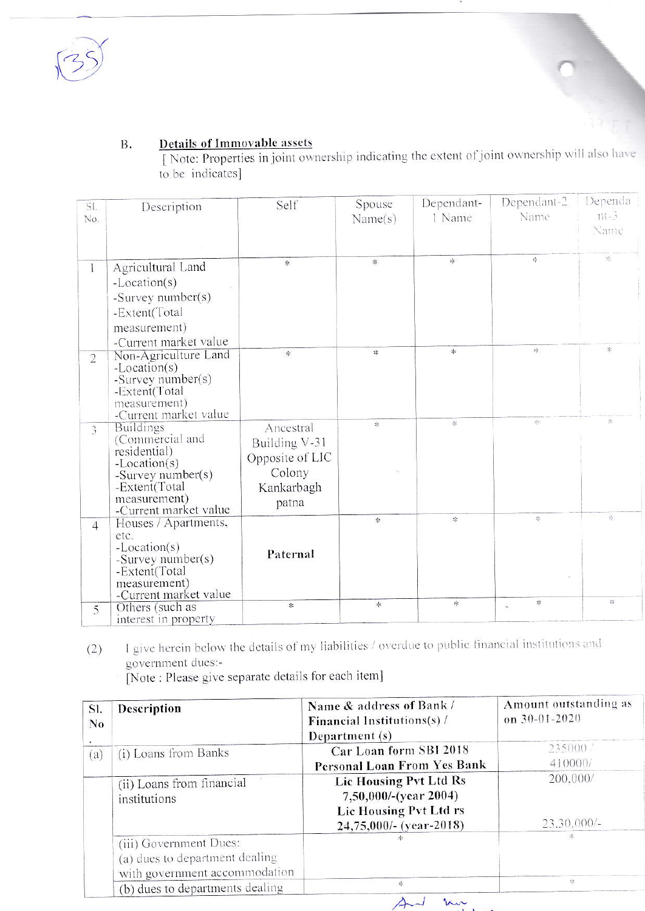

## **Details of Immovable assets B.**

[Note: Properties in joint ownership indicating the extent of joint ownership will also have to be indicates]

| SI.<br>No.     | Description                                                                                                                                        | Self                                                                           | Spouse<br>Name(s)                 | Dependant-<br>1 Name | Dependant-2<br>Name        | Dependa<br>$111 - 3$<br>Name |
|----------------|----------------------------------------------------------------------------------------------------------------------------------------------------|--------------------------------------------------------------------------------|-----------------------------------|----------------------|----------------------------|------------------------------|
| 1              | Agricultural Land<br>$-Location(s)$<br>-Survey number(s)<br>-Extent(Total<br>measurement)<br>-Current market value                                 | 家                                                                              | $\ast$                            | $\mathcal{R}$        | 雰                          | $\frac{a_{1}^{2}a_{2}}{2}$   |
| $\sqrt{2}$     | Non-Agriculture Land<br>$-Location(s)$<br>-Survey number(s)<br>-Extent(Total<br>measurement)<br>-Current market value                              | 家                                                                              | $\ast$                            | 幸                    | 宋                          | 崇                            |
| 3              | <b>Buildings</b><br>(Commercial and<br>residential)<br>-Location(s)<br>-Survey number(s)<br>-Extent(Total<br>measurement)<br>-Current market value | Ancestral<br>Building V-31<br>Opposite of LIC<br>Colony<br>Kankarbagh<br>patna | 家                                 | 崇                    | $\mathcal{C}(\mathcal{C})$ | $\frac{1}{2\sqrt{2}}$        |
| $\overline{4}$ | Houses / Apartments,<br>etc.<br>-Location(s)<br>-Survey number(s)<br>-Extent(Total<br>measurement)<br>-Current market value                        | Paternal                                                                       | $\pm$                             | $1\vert \zeta$       | $\frac{1}{2}$              | 案                            |
| 5              | Others (such as<br>interest in property                                                                                                            | $\ast$                                                                         | $\frac{d\mathbf{r}}{d\mathbf{r}}$ | $\pm$                | 家<br>$\sim$                | 丰                            |

I give herein below the details of my liabilities / overdue to public financial institutions and  $(2)$ government dues:-

[Note : Please give separate details for each item]

| SI.<br>$\bf No$ | Description                                                                               | Name & address of Bank /<br>Financial Institutions(s) /<br>Department (s)                             | Amount outstanding as<br>on $30 - 01 - 2020$ |  |
|-----------------|-------------------------------------------------------------------------------------------|-------------------------------------------------------------------------------------------------------|----------------------------------------------|--|
| (a)             | (i) Loans from Banks                                                                      | Car Loan form SBI 2018<br>Personal Loan From Yes Bank                                                 | 235000 /<br>410000/                          |  |
|                 | (ii) Loans from financial<br>institutions                                                 | Lic Housing Pvt Ltd Rs<br>7,50,000/-(year 2004)<br>Lic Housing Pvt Ltd rs<br>$24,75,000/-(year-2018)$ | 200,000/<br>$23.30,000/-$                    |  |
|                 | (iii) Government Dues:<br>(a) dues to department dealing<br>with government accommodation |                                                                                                       | $\mathcal{H}$                                |  |
|                 | (b) dues to departments dealing                                                           | 水                                                                                                     | 家                                            |  |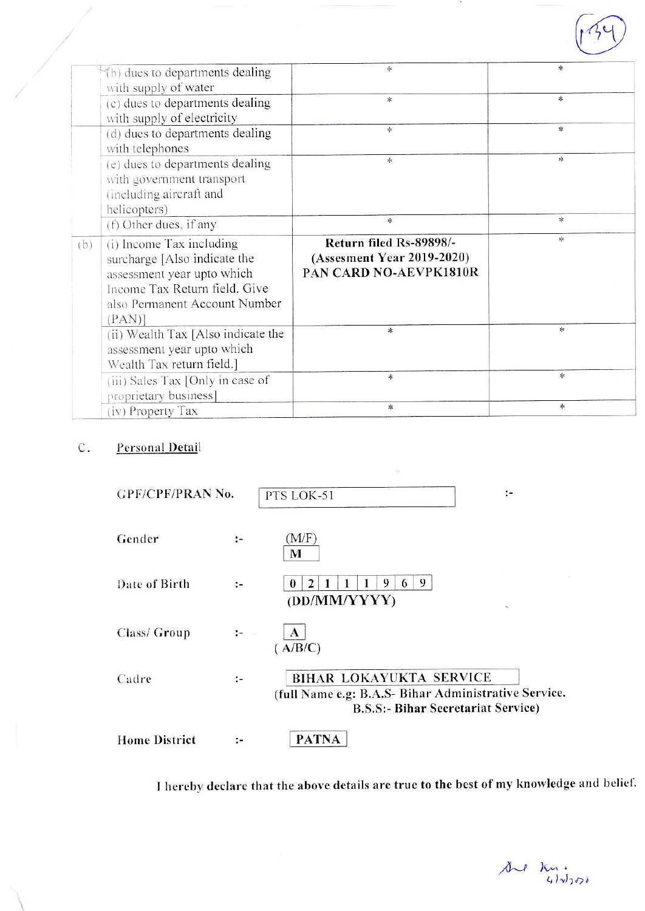|     | (b) dues to departments dealing<br>with supply of water                                                                                                           | *                                                                               | 冰                                 |
|-----|-------------------------------------------------------------------------------------------------------------------------------------------------------------------|---------------------------------------------------------------------------------|-----------------------------------|
|     | (c) dues to departments dealing<br>with supply of electricity                                                                                                     | $\approx$                                                                       | $\ast$                            |
|     | (d) dues to departments dealing<br>with telephones                                                                                                                | $\ast$                                                                          | $\ast$                            |
|     | (e) dues to departments dealing<br>with government transport<br>(including aircraft and<br>helicopters)                                                           | $\ast$                                                                          | $\mathcal{H}$                     |
|     | (f) Other dues, if any                                                                                                                                            | 氺                                                                               | $\ast$                            |
| (b) | (i) Income Tax including<br>surcharge [Also indicate the<br>assessment year upto which<br>Income Tax Return field. Give<br>also Permanent Account Number<br>(PAN) | Return filed Rs-89898/-<br>(Assesment Year 2019-2020)<br>PAN CARD NO-AEVPK1810R | $\frac{d\mathbf{r}}{d\mathbf{r}}$ |
|     | (ii) Wealth Tax [Also indicate the<br>assessment year upto which<br>Wealth Tax return field.]                                                                     | *                                                                               | *                                 |
|     | (iii) Sales Tax [Only in case of<br>proprietary business]                                                                                                         | $*$                                                                             | *                                 |
|     | (iv) Property Tax                                                                                                                                                 | $\ast$                                                                          | 冰                                 |

### $\mathsf C.$ Personal Detail

| <b>GPF/CPF/PRAN No.</b> |                                 | PTS LOK-51                                                                                                                   |    |
|-------------------------|---------------------------------|------------------------------------------------------------------------------------------------------------------------------|----|
| Gender                  | $:-$                            | (M/F)<br>M                                                                                                                   |    |
| Date of Birth           | ÷.                              | 9<br>9<br>2<br>6<br>(DD/MM/YYYY)                                                                                             | ×. |
| Class/ Group            | $\frac{1}{2}$ and $\frac{1}{2}$ | $\mathbf{A}$<br>( A/B/C)                                                                                                     |    |
| Cadre                   | $:-$                            | BIHAR LOKAYUKTA SERVICE<br>(full Name e.g: B.A.S- Bihar Administrative Service.<br><b>B.S.S:- Bihar Secretariat Service)</b> |    |
| <b>Home District</b>    |                                 | <b>PATNA</b>                                                                                                                 |    |

I hereby declare that the above details are true to the best of my knowledge and belief.

 $200$  Km